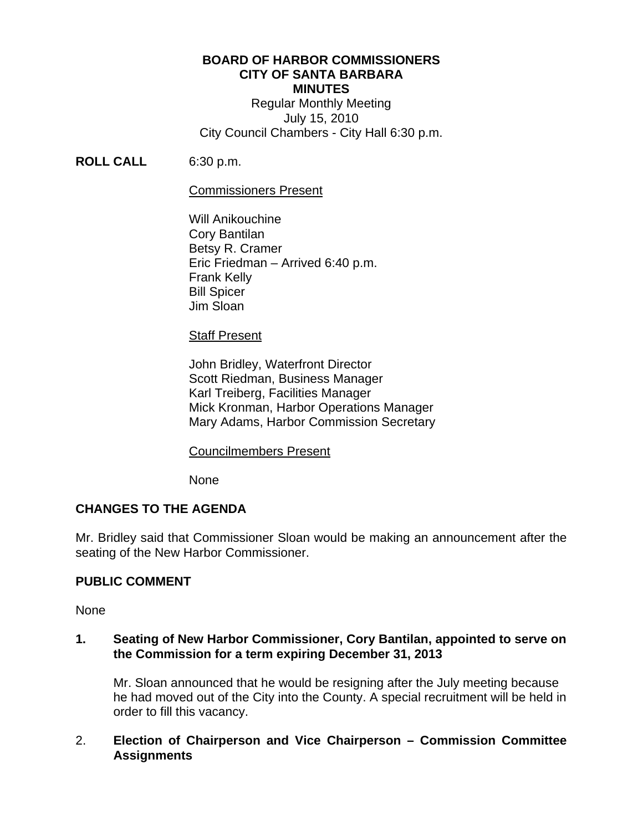### **BOARD OF HARBOR COMMISSIONERS CITY OF SANTA BARBARA MINUTES**

Regular Monthly Meeting July 15, 2010 City Council Chambers - City Hall 6:30 p.m.

**ROLL CALL** 6:30 p.m.

### Commissioners Present

Will Anikouchine Cory Bantilan Betsy R. Cramer Eric Friedman – Arrived 6:40 p.m. Frank Kelly Bill Spicer Jim Sloan

### Staff Present

 John Bridley, Waterfront Director Scott Riedman, Business Manager Karl Treiberg, Facilities Manager Mick Kronman, Harbor Operations Manager Mary Adams, Harbor Commission Secretary

#### Councilmembers Present

None

# **CHANGES TO THE AGENDA**

Mr. Bridley said that Commissioner Sloan would be making an announcement after the seating of the New Harbor Commissioner.

# **PUBLIC COMMENT**

None

### **1. Seating of New Harbor Commissioner, Cory Bantilan, appointed to serve on the Commission for a term expiring December 31, 2013**

Mr. Sloan announced that he would be resigning after the July meeting because he had moved out of the City into the County. A special recruitment will be held in order to fill this vacancy.

# 2. **Election of Chairperson and Vice Chairperson – Commission Committee Assignments**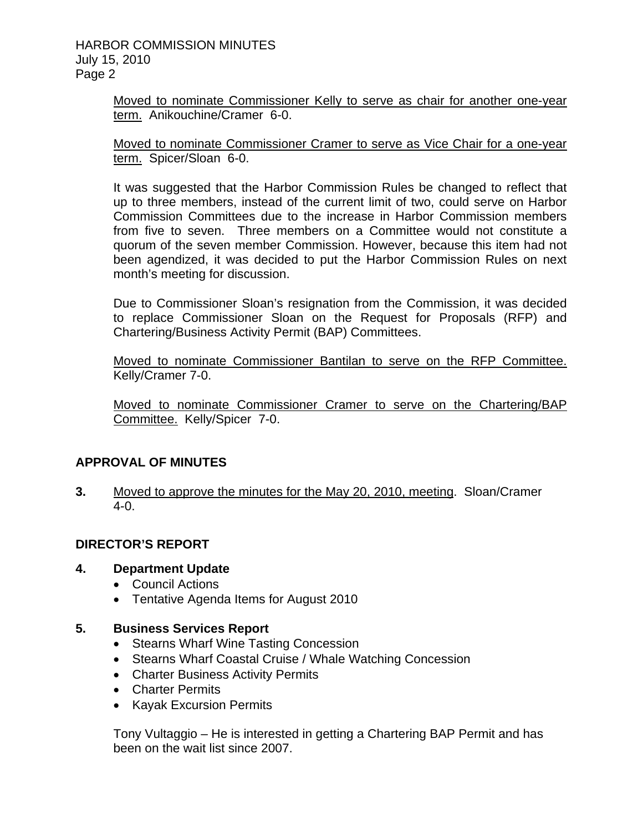### HARBOR COMMISSION MINUTES July 15, 2010 Page 2

Moved to nominate Commissioner Kelly to serve as chair for another one-year term. Anikouchine/Cramer 6-0.

Moved to nominate Commissioner Cramer to serve as Vice Chair for a one-year term. Spicer/Sloan 6-0.

It was suggested that the Harbor Commission Rules be changed to reflect that up to three members, instead of the current limit of two, could serve on Harbor Commission Committees due to the increase in Harbor Commission members from five to seven. Three members on a Committee would not constitute a quorum of the seven member Commission. However, because this item had not been agendized, it was decided to put the Harbor Commission Rules on next month's meeting for discussion.

Due to Commissioner Sloan's resignation from the Commission, it was decided to replace Commissioner Sloan on the Request for Proposals (RFP) and Chartering/Business Activity Permit (BAP) Committees.

Moved to nominate Commissioner Bantilan to serve on the RFP Committee. Kelly/Cramer 7-0.

Moved to nominate Commissioner Cramer to serve on the Chartering/BAP Committee. Kelly/Spicer 7-0.

# **APPROVAL OF MINUTES**

**3.** Moved to approve the minutes for the May 20, 2010, meeting. Sloan/Cramer  $4-0.$ 

# **DIRECTOR'S REPORT**

# **4. Department Update**

- Council Actions
- Tentative Agenda Items for August 2010

# **5. Business Services Report**

- Stearns Wharf Wine Tasting Concession
- Stearns Wharf Coastal Cruise / Whale Watching Concession
- Charter Business Activity Permits
- Charter Permits
- Kayak Excursion Permits

Tony Vultaggio – He is interested in getting a Chartering BAP Permit and has been on the wait list since 2007.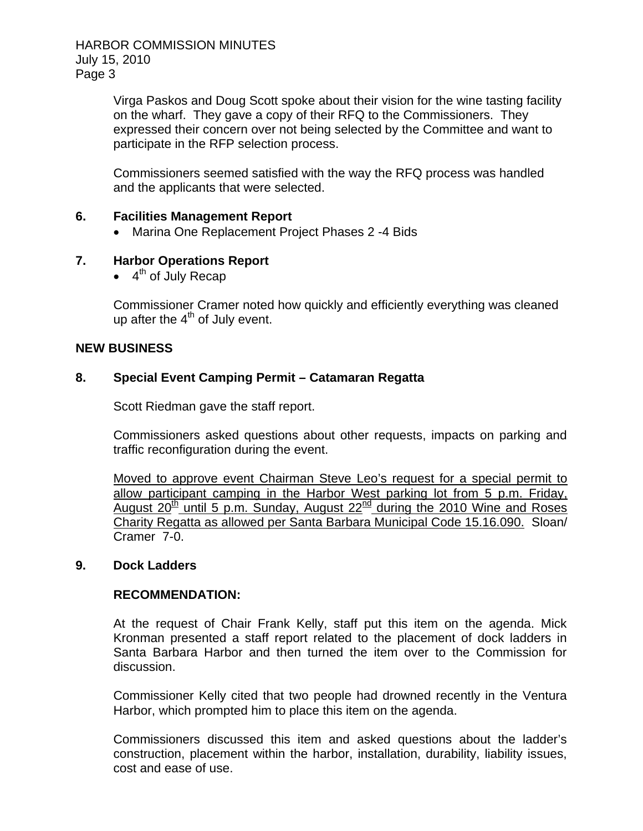HARBOR COMMISSION MINUTES July 15, 2010 Page 3

> Virga Paskos and Doug Scott spoke about their vision for the wine tasting facility on the wharf. They gave a copy of their RFQ to the Commissioners. They expressed their concern over not being selected by the Committee and want to participate in the RFP selection process.

Commissioners seemed satisfied with the way the RFQ process was handled and the applicants that were selected.

#### **6. Facilities Management Report**

• Marina One Replacement Project Phases 2 -4 Bids

### **7. Harbor Operations Report**

 $\bullet$  4<sup>th</sup> of July Recap

Commissioner Cramer noted how quickly and efficiently everything was cleaned up after the  $4<sup>th</sup>$  of July event.

#### **NEW BUSINESS**

### **8. Special Event Camping Permit – Catamaran Regatta**

Scott Riedman gave the staff report.

Commissioners asked questions about other requests, impacts on parking and traffic reconfiguration during the event.

Moved to approve event Chairman Steve Leo's request for a special permit to allow participant camping in the Harbor West parking lot from 5 p.m. Friday, August  $20^{th}$  until 5 p.m. Sunday, August  $22^{nd}$  during the 2010 Wine and Roses Charity Regatta as allowed per Santa Barbara Municipal Code 15.16.090. Sloan/ Cramer 7-0.

#### **9. Dock Ladders**

#### **RECOMMENDATION:**

At the request of Chair Frank Kelly, staff put this item on the agenda. Mick Kronman presented a staff report related to the placement of dock ladders in Santa Barbara Harbor and then turned the item over to the Commission for discussion.

Commissioner Kelly cited that two people had drowned recently in the Ventura Harbor, which prompted him to place this item on the agenda.

Commissioners discussed this item and asked questions about the ladder's construction, placement within the harbor, installation, durability, liability issues, cost and ease of use.